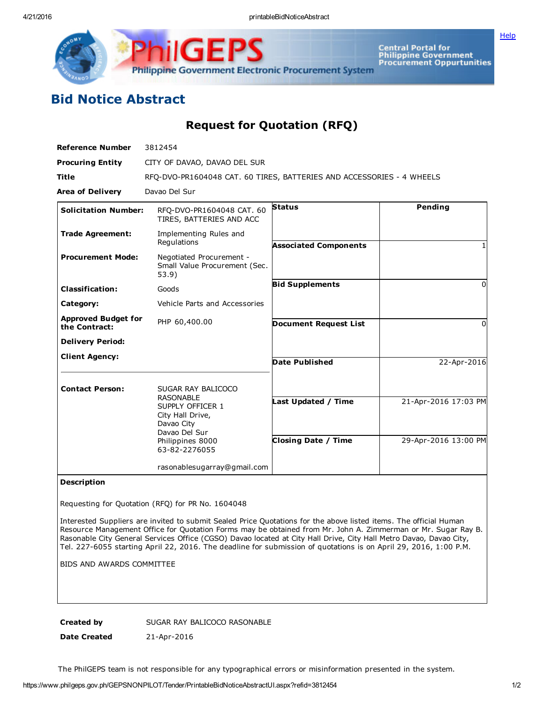**[Help](javascript:void(window.open()** 



Central Portal for<br>Philippine Government<br>Procurement Oppurtunities

## Bid Notice Abstract

Request for Quotation (RFQ)

| <b>Reference Number</b>                     | 3812454                                                                                                                                            |                                                   |                                              |
|---------------------------------------------|----------------------------------------------------------------------------------------------------------------------------------------------------|---------------------------------------------------|----------------------------------------------|
| <b>Procuring Entity</b>                     | CITY OF DAVAO, DAVAO DEL SUR                                                                                                                       |                                                   |                                              |
| Title                                       | RFO-DVO-PR1604048 CAT. 60 TIRES, BATTERIES AND ACCESSORIES - 4 WHEELS                                                                              |                                                   |                                              |
| <b>Area of Delivery</b>                     | Davao Del Sur                                                                                                                                      |                                                   |                                              |
| <b>Solicitation Number:</b>                 | RFQ-DVO-PR1604048 CAT. 60<br>TIRES, BATTERIES AND ACC                                                                                              | <b>Status</b>                                     | Pending                                      |
| <b>Trade Agreement:</b>                     | Implementing Rules and<br>Regulations                                                                                                              | <b>Associated Components</b>                      |                                              |
| <b>Procurement Mode:</b>                    | Negotiated Procurement -<br>Small Value Procurement (Sec.<br>53.9)                                                                                 |                                                   |                                              |
| <b>Classification:</b>                      | Goods                                                                                                                                              | <b>Bid Supplements</b>                            | O                                            |
| Category:                                   | Vehicle Parts and Accessories                                                                                                                      |                                                   |                                              |
| <b>Approved Budget for</b><br>the Contract: | PHP 60,400.00                                                                                                                                      | <b>Document Request List</b>                      | <sup>0</sup>                                 |
| <b>Delivery Period:</b>                     |                                                                                                                                                    |                                                   |                                              |
| <b>Client Agency:</b>                       |                                                                                                                                                    | <b>Date Published</b>                             | 22-Apr-2016                                  |
| <b>Contact Person:</b>                      | SUGAR RAY BALICOCO<br><b>RASONABLE</b><br>SUPPLY OFFICER 1<br>City Hall Drive,<br>Davao City<br>Davao Del Sur<br>Philippines 8000<br>63-82-2276055 | Last Updated / Time<br><b>Closing Date / Time</b> | 21-Apr-2016 17:03 PM<br>29-Apr-2016 13:00 PM |
|                                             | rasonablesugarray@gmail.com                                                                                                                        |                                                   |                                              |

## Description

Requesting for Quotation (RFQ) for PR No. 1604048

Interested Suppliers are invited to submit Sealed Price Quotations for the above listed items. The official Human Resource Management Office for Quotation Forms may be obtained from Mr. John A. Zimmerman or Mr. Sugar Ray B. Rasonable City General Services Office (CGSO) Davao located at City Hall Drive, City Hall Metro Davao, Davao City, Tel. 227-6055 starting April 22, 2016. The deadline for submission of quotations is on April 29, 2016, 1:00 P.M.

BIDS AND AWARDS COMMITTEE

Created by SUGAR RAY BALICOCO RASONABLE

Date Created 21-Apr-2016

The PhilGEPS team is not responsible for any typographical errors or misinformation presented in the system.